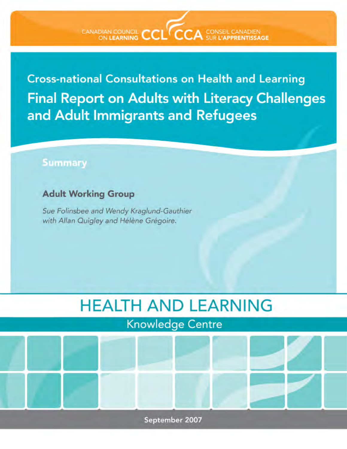CANADIAN COUNCIL CCL CCA CONSEIL CANADIEN

**Cross-national Consultations on Health and Learning**  Final Report on Adults with Literacy Challenges and Adult Immigrants and Refugees

## **Summary**

## **Adult Working Group**

*Sue Folinsbee and Wendy Krag/und-Gauthier*  with Allan Quigley and Hélène Grégoire.

# HEALTH AND LEARNING

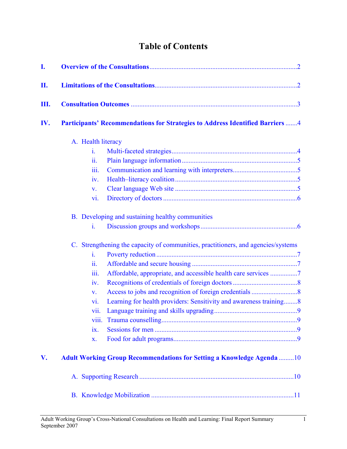# Table of Contents

| I.  |                                                                                                                                             |  |
|-----|---------------------------------------------------------------------------------------------------------------------------------------------|--|
| П.  |                                                                                                                                             |  |
| Ш.  |                                                                                                                                             |  |
| IV. | <b>Participants' Recommendations for Strategies to Address Identified Barriers 4</b>                                                        |  |
|     | A. Health literacy                                                                                                                          |  |
|     | i.                                                                                                                                          |  |
|     | ii.                                                                                                                                         |  |
|     | iii.                                                                                                                                        |  |
|     | iv.                                                                                                                                         |  |
|     | V.                                                                                                                                          |  |
|     | vi.                                                                                                                                         |  |
|     | B. Developing and sustaining healthy communities<br>i.<br>C. Strengthening the capacity of communities, practitioners, and agencies/systems |  |
|     | i.                                                                                                                                          |  |
|     | 11.                                                                                                                                         |  |
|     | iii.<br>Affordable, appropriate, and accessible health care services 7                                                                      |  |
|     | iv.                                                                                                                                         |  |
|     | V.                                                                                                                                          |  |
|     | Learning for health providers: Sensitivity and awareness training8<br>vi.                                                                   |  |
|     | vii.                                                                                                                                        |  |
|     | <b>V111.</b>                                                                                                                                |  |
|     | ix.                                                                                                                                         |  |
|     | X.                                                                                                                                          |  |
| V.  | <b>Adult Working Group Recommendations for Setting a Knowledge Agenda 10</b>                                                                |  |
|     |                                                                                                                                             |  |
|     |                                                                                                                                             |  |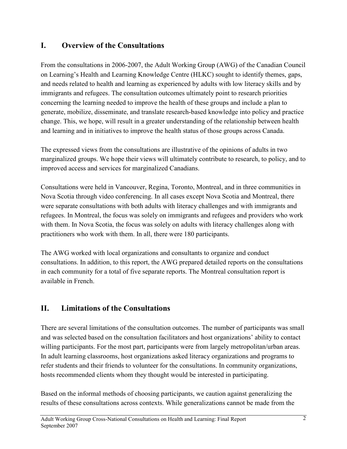#### <span id="page-2-0"></span>I. Overview of the Consultations

From the consultations in 2006-2007, the Adult Working Group (AWG) of the Canadian Council on Learning's Health and Learning Knowledge Centre (HLKC) sought to identify themes, gaps, and needs related to health and learning as experienced by adults with low literacy skills and by immigrants and refugees. The consultation outcomes ultimately point to research priorities concerning the learning needed to improve the health of these groups and include a plan to generate, mobilize, disseminate, and translate research-based knowledge into policy and practice change. This, we hope, will result in a greater understanding of the relationship between health and learning and in initiatives to improve the health status of those groups across Canada.

The expressed views from the consultations are illustrative of the opinions of adults in two marginalized groups. We hope their views will ultimately contribute to research, to policy, and to improved access and services for marginalized Canadians.

Consultations were held in Vancouver, Regina, Toronto, Montreal, and in three communities in Nova Scotia through video conferencing. In all cases except Nova Scotia and Montreal, there were separate consultations with both adults with literacy challenges and with immigrants and refugees. In Montreal, the focus was solely on immigrants and refugees and providers who work with them. In Nova Scotia, the focus was solely on adults with literacy challenges along with practitioners who work with them. In all, there were 180 participants.

The AWG worked with local organizations and consultants to organize and conduct consultations. In addition, to this report, the AWG prepared detailed reports on the consultations in each community for a total of five separate reports. The Montreal consultation report is available in French.

## II. Limitations of the Consultations

There are several limitations of the consultation outcomes. The number of participants was small and was selected based on the consultation facilitators and host organizations' ability to contact willing participants. For the most part, participants were from largely metropolitan/urban areas. In adult learning classrooms, host organizations asked literacy organizations and programs to refer students and their friends to volunteer for the consultations. In community organizations, hosts recommended clients whom they thought would be interested in participating.

Based on the informal methods of choosing participants, we caution against generalizing the results of these consultations across contexts. While generalizations cannot be made from the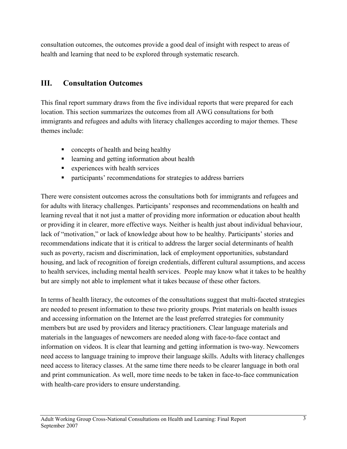<span id="page-3-0"></span>consultation outcomes, the outcomes provide a good deal of insight with respect to areas of health and learning that need to be explored through systematic research.

### III. Consultation Outcomes

This final report summary draws from the five individual reports that were prepared for each location. This section summarizes the outcomes from all AWG consultations for both immigrants and refugees and adults with literacy challenges according to major themes. These themes include:

- concepts of health and being healthy
- **Example 1** learning and getting information about health
- **EXPERIENCES** with health services
- participants' recommendations for strategies to address barriers

There were consistent outcomes across the consultations both for immigrants and refugees and for adults with literacy challenges. Participants' responses and recommendations on health and learning reveal that it not just a matter of providing more information or education about health or providing it in clearer, more effective ways. Neither is health just about individual behaviour, lack of "motivation," or lack of knowledge about how to be healthy. Participants' stories and recommendations indicate that it is critical to address the larger social determinants of health such as poverty, racism and discrimination, lack of employment opportunities, substandard housing, and lack of recognition of foreign credentials, different cultural assumptions, and access to health services, including mental health services. People may know what it takes to be healthy but are simply not able to implement what it takes because of these other factors.

In terms of health literacy, the outcomes of the consultations suggest that multi-faceted strategies are needed to present information to these two priority groups. Print materials on health issues and accessing information on the Internet are the least preferred strategies for community members but are used by providers and literacy practitioners. Clear language materials and materials in the languages of newcomers are needed along with face-to-face contact and information on videos. It is clear that learning and getting information is two-way. Newcomers need access to language training to improve their language skills. Adults with literacy challenges need access to literacy classes. At the same time there needs to be clearer language in both oral and print communication. As well, more time needs to be taken in face-to-face communication with health-care providers to ensure understanding.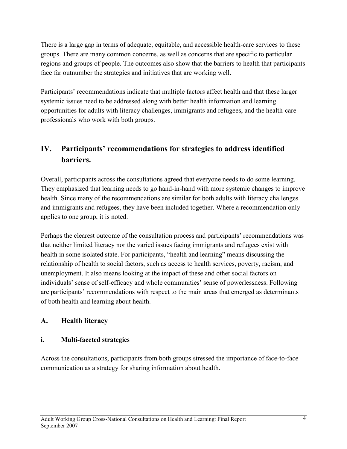<span id="page-4-0"></span>There is a large gap in terms of adequate, equitable, and accessible health-care services to these groups. There are many common concerns, as well as concerns that are specific to particular regions and groups of people. The outcomes also show that the barriers to health that participants face far outnumber the strategies and initiatives that are working well.

Participants' recommendations indicate that multiple factors affect health and that these larger systemic issues need to be addressed along with better health information and learning opportunities for adults with literacy challenges, immigrants and refugees, and the health-care professionals who work with both groups.

## IV. Participants' recommendations for strategies to address identified barriers.

Overall, participants across the consultations agreed that everyone needs to do some learning. They emphasized that learning needs to go hand-in-hand with more systemic changes to improve health. Since many of the recommendations are similar for both adults with literacy challenges and immigrants and refugees, they have been included together. Where a recommendation only applies to one group, it is noted.

Perhaps the clearest outcome of the consultation process and participants' recommendations was that neither limited literacy nor the varied issues facing immigrants and refugees exist with health in some isolated state. For participants, "health and learning" means discussing the relationship of health to social factors, such as access to health services, poverty, racism, and unemployment. It also means looking at the impact of these and other social factors on individuals' sense of self-efficacy and whole communities' sense of powerlessness. Following are participants' recommendations with respect to the main areas that emerged as determinants of both health and learning about health.

#### A. Health literacy

#### i. Multi-faceted strategies

Across the consultations, participants from both groups stressed the importance of face-to-face communication as a strategy for sharing information about health.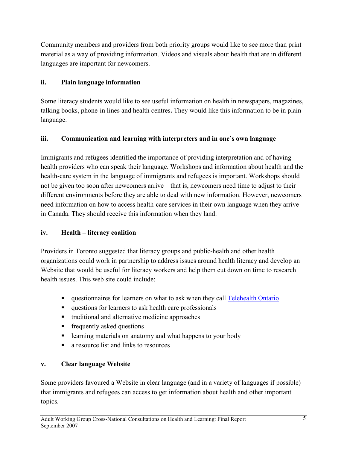<span id="page-5-0"></span>Community members and providers from both priority groups would like to see more than print material as a way of providing information. Videos and visuals about health that are in different languages are important for newcomers.

#### ii. Plain language information

Some literacy students would like to see useful information on health in newspapers, magazines, talking books, phone-in lines and health centres. They would like this information to be in plain language.

#### iii. Communication and learning with interpreters and in one's own language

Immigrants and refugees identified the importance of providing interpretation and of having health providers who can speak their language. Workshops and information about health and the health-care system in the language of immigrants and refugees is important. Workshops should not be given too soon after newcomers arrive—that is, newcomers need time to adjust to their different environments before they are able to deal with new information. However, newcomers need information on how to access health-care services in their own language when they arrive in Canada. They should receive this information when they land.

#### iv. Health – literacy coalition

Providers in Toronto suggested that literacy groups and public-health and other health organizations could work in partnership to address issues around health literacy and develop an Website that would be useful for literacy workers and help them cut down on time to research health issues. This web site could include:

- questionnaires for learners on what to ask when they call Telehealth Ontario
- questions for learners to ask health care professionals
- traditional and alternative medicine approaches
- **Figure 1** frequently asked questions
- **Example 1** learning materials on anatomy and what happens to your body
- **a** resource list and links to resources

#### v. Clear language Website

Some providers favoured a Website in clear language (and in a variety of languages if possible) that immigrants and refugees can access to get information about health and other important topics.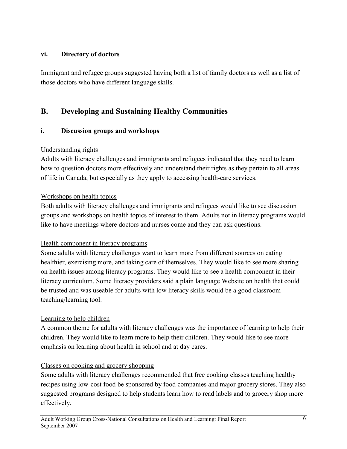#### <span id="page-6-0"></span>vi. Directory of doctors

Immigrant and refugee groups suggested having both a list of family doctors as well as a list of those doctors who have different language skills.

## B. Developing and Sustaining Healthy Communities

#### i. Discussion groups and workshops

#### Understanding rights

Adults with literacy challenges and immigrants and refugees indicated that they need to learn how to question doctors more effectively and understand their rights as they pertain to all areas of life in Canada, but especially as they apply to accessing health-care services.

#### Workshops on health topics

Both adults with literacy challenges and immigrants and refugees would like to see discussion groups and workshops on health topics of interest to them. Adults not in literacy programs would like to have meetings where doctors and nurses come and they can ask questions.

#### Health component in literacy programs

Some adults with literacy challenges want to learn more from different sources on eating healthier, exercising more, and taking care of themselves. They would like to see more sharing on health issues among literacy programs. They would like to see a health component in their literacy curriculum. Some literacy providers said a plain language Website on health that could be trusted and was useable for adults with low literacy skills would be a good classroom teaching/learning tool.

#### Learning to help children

A common theme for adults with literacy challenges was the importance of learning to help their children. They would like to learn more to help their children. They would like to see more emphasis on learning about health in school and at day cares.

#### Classes on cooking and grocery shopping

Some adults with literacy challenges recommended that free cooking classes teaching healthy recipes using low-cost food be sponsored by food companies and major grocery stores. They also suggested programs designed to help students learn how to read labels and to grocery shop more effectively.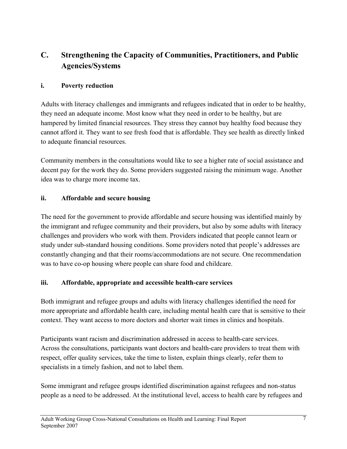## <span id="page-7-0"></span>C. Strengthening the Capacity of Communities, Practitioners, and Public Agencies/Systems

#### i. Poverty reduction

Adults with literacy challenges and immigrants and refugees indicated that in order to be healthy, they need an adequate income. Most know what they need in order to be healthy, but are hampered by limited financial resources. They stress they cannot buy healthy food because they cannot afford it. They want to see fresh food that is affordable. They see health as directly linked to adequate financial resources.

Community members in the consultations would like to see a higher rate of social assistance and decent pay for the work they do. Some providers suggested raising the minimum wage. Another idea was to charge more income tax.

#### ii. Affordable and secure housing

The need for the government to provide affordable and secure housing was identified mainly by the immigrant and refugee community and their providers, but also by some adults with literacy challenges and providers who work with them. Providers indicated that people cannot learn or study under sub-standard housing conditions. Some providers noted that people's addresses are constantly changing and that their rooms/accommodations are not secure. One recommendation was to have co-op housing where people can share food and childcare.

#### iii. Affordable, appropriate and accessible health-care services

Both immigrant and refugee groups and adults with literacy challenges identified the need for more appropriate and affordable health care, including mental health care that is sensitive to their context. They want access to more doctors and shorter wait times in clinics and hospitals.

Participants want racism and discrimination addressed in access to health-care services. Across the consultations, participants want doctors and health-care providers to treat them with respect, offer quality services, take the time to listen, explain things clearly, refer them to specialists in a timely fashion, and not to label them.

Some immigrant and refugee groups identified discrimination against refugees and non-status people as a need to be addressed. At the institutional level, access to health care by refugees and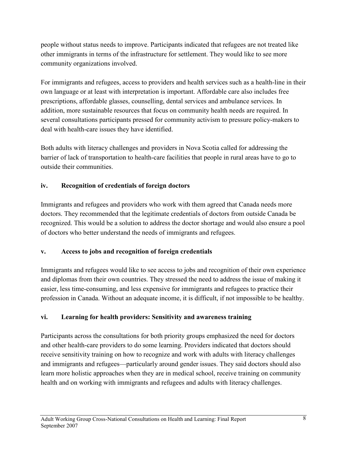<span id="page-8-0"></span>people without status needs to improve. Participants indicated that refugees are not treated like other immigrants in terms of the infrastructure for settlement. They would like to see more community organizations involved.

For immigrants and refugees, access to providers and health services such as a health-line in their own language or at least with interpretation is important. Affordable care also includes free prescriptions, affordable glasses, counselling, dental services and ambulance services. In addition, more sustainable resources that focus on community health needs are required. In several consultations participants pressed for community activism to pressure policy-makers to deal with health-care issues they have identified.

Both adults with literacy challenges and providers in Nova Scotia called for addressing the barrier of lack of transportation to health-care facilities that people in rural areas have to go to outside their communities.

#### iv. Recognition of credentials of foreign doctors

Immigrants and refugees and providers who work with them agreed that Canada needs more doctors. They recommended that the legitimate credentials of doctors from outside Canada be recognized. This would be a solution to address the doctor shortage and would also ensure a pool of doctors who better understand the needs of immigrants and refugees.

#### v. Access to jobs and recognition of foreign credentials

Immigrants and refugees would like to see access to jobs and recognition of their own experience and diplomas from their own countries. They stressed the need to address the issue of making it easier, less time-consuming, and less expensive for immigrants and refugees to practice their profession in Canada. Without an adequate income, it is difficult, if not impossible to be healthy.

#### vi. Learning for health providers: Sensitivity and awareness training

Participants across the consultations for both priority groups emphasized the need for doctors and other health-care providers to do some learning. Providers indicated that doctors should receive sensitivity training on how to recognize and work with adults with literacy challenges and immigrants and refugees—particularly around gender issues. They said doctors should also learn more holistic approaches when they are in medical school, receive training on community health and on working with immigrants and refugees and adults with literacy challenges.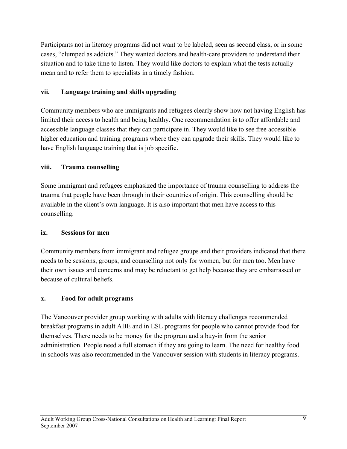<span id="page-9-0"></span>Participants not in literacy programs did not want to be labeled, seen as second class, or in some cases, "clumped as addicts." They wanted doctors and health-care providers to understand their situation and to take time to listen. They would like doctors to explain what the tests actually mean and to refer them to specialists in a timely fashion.

#### vii. Language training and skills upgrading

Community members who are immigrants and refugees clearly show how not having English has limited their access to health and being healthy. One recommendation is to offer affordable and accessible language classes that they can participate in. They would like to see free accessible higher education and training programs where they can upgrade their skills. They would like to have English language training that is job specific.

#### viii. Trauma counselling

Some immigrant and refugees emphasized the importance of trauma counselling to address the trauma that people have been through in their countries of origin. This counselling should be available in the client's own language. It is also important that men have access to this counselling.

#### ix. Sessions for men

Community members from immigrant and refugee groups and their providers indicated that there needs to be sessions, groups, and counselling not only for women, but for men too. Men have their own issues and concerns and may be reluctant to get help because they are embarrassed or because of cultural beliefs.

#### x. Food for adult programs

The Vancouver provider group working with adults with literacy challenges recommended breakfast programs in adult ABE and in ESL programs for people who cannot provide food for themselves. There needs to be money for the program and a buy-in from the senior administration. People need a full stomach if they are going to learn. The need for healthy food in schools was also recommended in the Vancouver session with students in literacy programs.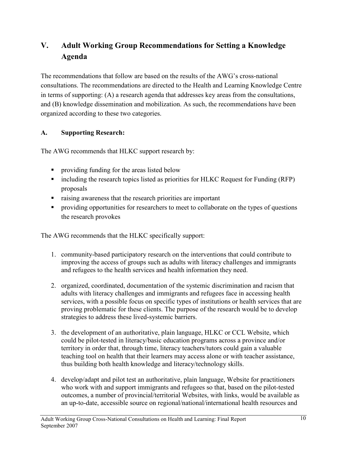## <span id="page-10-0"></span>V. Adult Working Group Recommendations for Setting a Knowledge Agenda

The recommendations that follow are based on the results of the AWG's cross-national consultations. The recommendations are directed to the Health and Learning Knowledge Centre in terms of supporting: (A) a research agenda that addresses key areas from the consultations, and (B) knowledge dissemination and mobilization. As such, the recommendations have been organized according to these two categories.

#### A. Supporting Research:

The AWG recommends that HLKC support research by:

- **providing funding for the areas listed below**
- including the research topics listed as priorities for HLKC Request for Funding (RFP) proposals
- raising awareness that the research priorities are important
- **•** providing opportunities for researchers to meet to collaborate on the types of questions the research provokes

The AWG recommends that the HLKC specifically support:

- 1. community-based participatory research on the interventions that could contribute to improving the access of groups such as adults with literacy challenges and immigrants and refugees to the health services and health information they need.
- 2. organized, coordinated, documentation of the systemic discrimination and racism that adults with literacy challenges and immigrants and refugees face in accessing health services, with a possible focus on specific types of institutions or health services that are proving problematic for these clients. The purpose of the research would be to develop strategies to address these lived-systemic barriers.
- 3. the development of an authoritative, plain language, HLKC or CCL Website, which could be pilot-tested in literacy/basic education programs across a province and/or territory in order that, through time, literacy teachers/tutors could gain a valuable teaching tool on health that their learners may access alone or with teacher assistance, thus building both health knowledge and literacy/technology skills.
- 4. develop/adapt and pilot test an authoritative, plain language, Website for practitioners who work with and support immigrants and refugees so that, based on the pilot-tested outcomes, a number of provincial/territorial Websites, with links, would be available as an up-to-date, accessible source on regional/national/international health resources and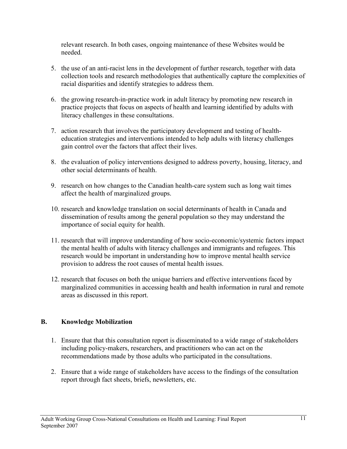<span id="page-11-0"></span>relevant research. In both cases, ongoing maintenance of these Websites would be needed.

- 5. the use of an anti-racist lens in the development of further research, together with data collection tools and research methodologies that authentically capture the complexities of racial disparities and identify strategies to address them.
- 6. the growing research-in-practice work in adult literacy by promoting new research in practice projects that focus on aspects of health and learning identified by adults with literacy challenges in these consultations.
- 7. action research that involves the participatory development and testing of healtheducation strategies and interventions intended to help adults with literacy challenges gain control over the factors that affect their lives.
- 8. the evaluation of policy interventions designed to address poverty, housing, literacy, and other social determinants of health.
- 9. research on how changes to the Canadian health-care system such as long wait times affect the health of marginalized groups.
- 10. research and knowledge translation on social determinants of health in Canada and dissemination of results among the general population so they may understand the importance of social equity for health.
- 11. research that will improve understanding of how socio-economic/systemic factors impact the mental health of adults with literacy challenges and immigrants and refugees. This research would be important in understanding how to improve mental health service provision to address the root causes of mental health issues.
- 12. research that focuses on both the unique barriers and effective interventions faced by marginalized communities in accessing health and health information in rural and remote areas as discussed in this report.

#### B. Knowledge Mobilization

- 1. Ensure that that this consultation report is disseminated to a wide range of stakeholders including policy-makers, researchers, and practitioners who can act on the recommendations made by those adults who participated in the consultations.
- 2. Ensure that a wide range of stakeholders have access to the findings of the consultation report through fact sheets, briefs, newsletters, etc.